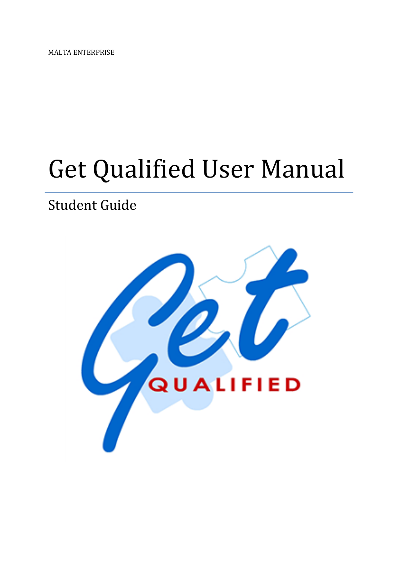MALTA ENTERPRISE

# Get Qualified User Manual

# Student Guide

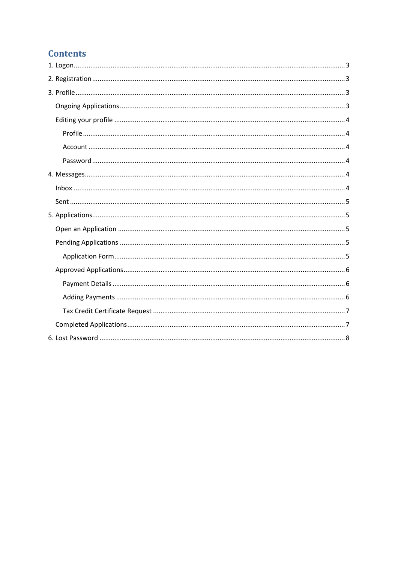# **Contents**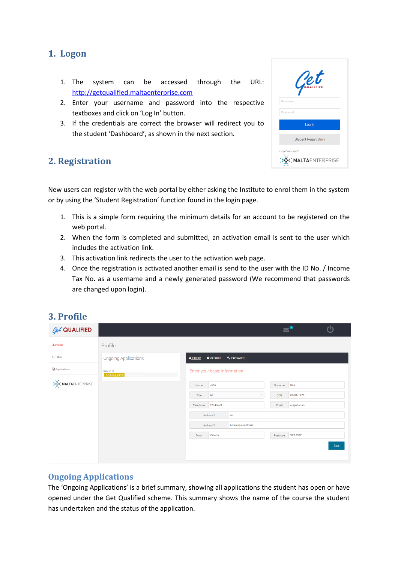# <span id="page-2-0"></span>**1. Logon**

- 1. The system can be accessed through the URL: [http://getqualified.maltaenterprise.com](http://getqualified.maltaenterprise.com/)
- 2. Enter your username and password into the respective textboxes and click on 'Log In' button.
- 3. If the credentials are correct the browser will redirect you to the student 'Dashboard', as shown in the next section.

# <span id="page-2-1"></span>**2. Registration**

| Pet                                   |  |
|---------------------------------------|--|
| Username                              |  |
| Password                              |  |
| Log In                                |  |
| <b>Student Registration</b>           |  |
| Forgot password?<br>: MALTAENTERPRISE |  |

New users can register with the web portal by either asking the Institute to enrol them in the system or by using the 'Student Registration' function found in the login page.

- 1. This is a simple form requiring the minimum details for an account to be registered on the web portal.
- 2. When the form is completed and submitted, an activation email is sent to the user which includes the activation link.
- 3. This activation link redirects the user to the activation web page.
- 4. Once the registration is activated another email is send to the user with the ID No. / Income Tax No. as a username and a newly generated password (We recommend that passwords are changed upon login).

# <span id="page-2-2"></span>**3. Profile**

| $\sqrt{et}$ QUALIFIED       |                                    |           |                              |                         |          |            | $\mathcal{C}^{\prime}$ |
|-----------------------------|------------------------------------|-----------|------------------------------|-------------------------|----------|------------|------------------------|
| & Profile                   | Profile                            |           |                              |                         |          |            |                        |
| $\boxdot$ Inbox             | <b>Ongoing Applications</b>        | & Profile | <b>A</b> Account             | Q <sub>k</sub> Password |          |            |                        |
| Applications                | <b>BSC</b> in IT<br>Awaiting admin |           | Enter your basic information |                         |          |            |                        |
| <b>ORIGINALTAENTERPRISE</b> |                                    | Name      | John                         |                         | Surname  | Doe        |                        |
|                             |                                    | Title     | Mr                           | $\bullet$               | DOB      | 01/01/1970 |                        |
|                             |                                    | Telephone | 12345678                     |                         | Email    | ab@ab.com  |                        |
|                             |                                    |           | Address 1                    | 46,                     |          |            |                        |
|                             |                                    |           | Address 2                    | Lorem Ipsum Street      |          |            |                        |
|                             |                                    | Town      | Valletta                     |                         | Postcode | VLT 3072   |                        |
|                             |                                    |           |                              |                         |          |            | Save                   |
|                             |                                    |           |                              |                         |          |            |                        |
|                             |                                    |           |                              |                         |          |            |                        |

# <span id="page-2-3"></span>**Ongoing Applications**

The 'Ongoing Applications' is a brief summary, showing all applications the student has open or have opened under the Get Qualified scheme. This summary shows the name of the course the student has undertaken and the status of the application.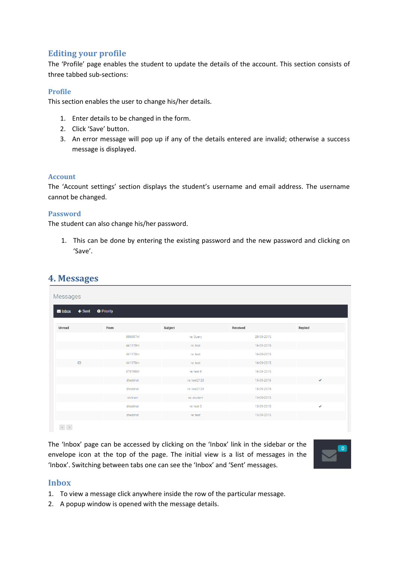# <span id="page-3-0"></span>**Editing your profile**

The 'Profile' page enables the student to update the details of the account. This section consists of three tabbed sub-sections:

#### <span id="page-3-1"></span>**Profile**

This section enables the user to change his/her details.

- 1. Enter details to be changed in the form.
- 2. Click 'Save' button.
- 3. An error message will pop up if any of the details entered are invalid; otherwise a success message is displayed.

#### <span id="page-3-2"></span>**Account**

The 'Account settings' section displays the student's username and email address. The username cannot be changed.

#### <span id="page-3-3"></span>**Password**

<span id="page-3-4"></span>**4. Messages**

The student can also change his/her password.

1. This can be done by entering the existing password and the new password and clicking on 'Save'.

| ← Sent ● Priority<br>From |              |            |              |
|---------------------------|--------------|------------|--------------|
|                           |              |            |              |
|                           | Subject      | Received   | Replied      |
| 989897M                   | re: Query    | 28-09-2015 |              |
| 441170m                   | re: test     | 16-09-2015 |              |
| 441170m                   | re: test     | 16-09-2015 |              |
| 441170m                   | re: test     | 16-09-2015 |              |
| 979798M                   | re: test 6   | 16-09-2015 |              |
| dtestinst                 | re: test2123 | 15-09-2015 | $\checkmark$ |
| dtestinst                 | re: test2123 | 15-09-2015 |              |
| stetrain                  | re: student  | 15-09-2015 |              |
| dtestinst                 | re: test 3   | 15-09-2015 | $\checkmark$ |
| dtestinst                 | re: test     | 15-09-2015 |              |
|                           |              |            |              |

The 'Inbox' page can be accessed by clicking on the 'Inbox' link in the sidebar or the envelope icon at the top of the page. The initial view is a list of messages in the 'Inbox'. Switching between tabs one can see the 'Inbox' and 'Sent' messages.



#### <span id="page-3-5"></span>**Inbox**

- 1. To view a message click anywhere inside the row of the particular message.
- 2. A popup window is opened with the message details.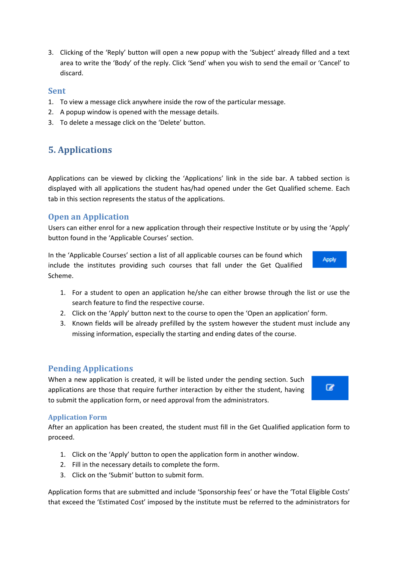3. Clicking of the 'Reply' button will open a new popup with the 'Subject' already filled and a text area to write the 'Body' of the reply. Click 'Send' when you wish to send the email or 'Cancel' to discard.

#### <span id="page-4-0"></span>**Sent**

- 1. To view a message click anywhere inside the row of the particular message.
- 2. A popup window is opened with the message details.
- 3. To delete a message click on the 'Delete' button.

# <span id="page-4-1"></span>**5. Applications**

Applications can be viewed by clicking the 'Applications' link in the side bar. A tabbed section is displayed with all applications the student has/had opened under the Get Qualified scheme. Each tab in this section represents the status of the applications.

# <span id="page-4-2"></span>**Open an Application**

Users can either enrol for a new application through their respective Institute or by using the 'Apply' button found in the 'Applicable Courses' section.

In the 'Applicable Courses' section a list of all applicable courses can be found which include the institutes providing such courses that fall under the Get Qualified Scheme.

- 1. For a student to open an application he/she can either browse through the list or use the search feature to find the respective course.
- 2. Click on the 'Apply' button next to the course to open the 'Open an application' form.
- 3. Known fields will be already prefilled by the system however the student must include any missing information, especially the starting and ending dates of the course.

#### <span id="page-4-3"></span>**Pending Applications**

When a new application is created, it will be listed under the pending section. Such applications are those that require further interaction by either the student, having to submit the application form, or need approval from the administrators.

#### <span id="page-4-4"></span>**Application Form**

After an application has been created, the student must fill in the Get Qualified application form to proceed.

- 1. Click on the 'Apply' button to open the application form in another window.
- 2. Fill in the necessary details to complete the form.
- 3. Click on the 'Submit' button to submit form.

Application forms that are submitted and include 'Sponsorship fees' or have the 'Total Eligible Costs' that exceed the 'Estimated Cost' imposed by the institute must be referred to the administrators for





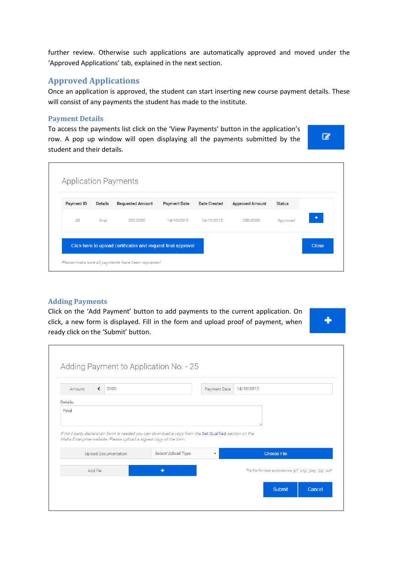<span id="page-5-1"></span>further review. Otherwise such applications are automatically approved and moved under the 'Approved Applications' tab, explained in the next section.

### <span id="page-5-0"></span>**Approved Applications**

Once an application is approved, the student can start inserting new course payment details. These will consist of any payments the student has made to the institute.

#### **Payment Details**

To access the payments list click on the 'View Payments' button in the application's row. A pop up window will open displaying all the payments submitted by the student and their details.



| Payment ID | Details | <b>Requested Amount</b> | <b>Payment Date</b> | <b>Date Created</b> | <b>Approved Amount</b> | <b>Status</b> |   |
|------------|---------|-------------------------|---------------------|---------------------|------------------------|---------------|---|
| 48         | final   | 200,0000                | 14-10-2015          | 14-10-2015          | 200,0000               | Approved      | ٠ |

#### <span id="page-5-2"></span>**Adding Payments**

Click on the 'Add Payment' button to add payments to the current application. On click, a new form is displayed. Fill in the form and upload proof of payment, when ready click on the 'Submit' button.



| Amount                                                                                                                       | € | 2000 |                    | Payment Date | 14/10/2015 |                    |                                                                                                 |  |  |  |  |  |  |  |
|------------------------------------------------------------------------------------------------------------------------------|---|------|--------------------|--------------|------------|--------------------|-------------------------------------------------------------------------------------------------|--|--|--|--|--|--|--|
| Details:<br>Final<br>If third party declaration form is needed you can download a copy from the Get Qualified section on the |   |      |                    |              |            |                    |                                                                                                 |  |  |  |  |  |  |  |
|                                                                                                                              |   |      |                    |              |            |                    | Malta Enterprise website. Please upload a signed copy of the form.<br>Upload Documentation<br>۰ |  |  |  |  |  |  |  |
|                                                                                                                              |   |      | Select Upload Type |              |            | <b>Choose File</b> |                                                                                                 |  |  |  |  |  |  |  |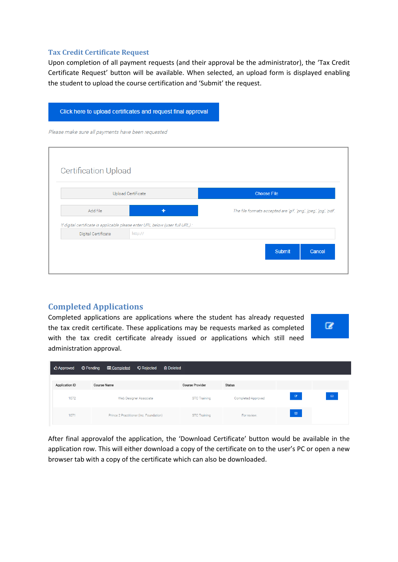#### <span id="page-6-0"></span>**Tax Credit Certificate Request**

Upon completion of all payment requests (and their approval be the administrator), the 'Tax Credit Certificate Request' button will be available. When selected, an upload form is displayed enabling the student to upload the course certification and 'Submit' the request.

|                                                   | Click here to upload certificates and request final approval                             |                                                                   |
|---------------------------------------------------|------------------------------------------------------------------------------------------|-------------------------------------------------------------------|
| Please make sure all payments have been requested |                                                                                          |                                                                   |
| <b>Certification Upload</b>                       | <b>Upload Certificate</b>                                                                | <b>Choose File</b>                                                |
| Add file                                          |                                                                                          | The file formats accepted are 'gif', 'png', 'jpeg', 'jpg', 'pdf'. |
| Digital Certificate                               | If digital certificate is applicable please enter URL below (user full URL) :<br>http:// |                                                                   |
|                                                   |                                                                                          | <b>Submit</b><br>Cancel                                           |

# <span id="page-6-1"></span>**Completed Applications**

Completed applications are applications where the student has already requested the tax credit certificate. These applications may be requests marked as completed with the tax credit certificate already issued or applications which still need administration approval.

| <b>C</b> Approved     | <b>O</b> Pending<br><b>E</b> Completed | <b>Q</b> Rejected                       | <b>m</b> Deleted       |                    |             |             |
|-----------------------|----------------------------------------|-----------------------------------------|------------------------|--------------------|-------------|-------------|
| <b>Application ID</b> | <b>Course Name</b>                     |                                         | <b>Course Provider</b> | <b>Status</b>      |             |             |
| 1072                  |                                        | Web Designer Associate                  | <b>STC Training</b>    | Completed-Approved | $\alpha$    | $\boxtimes$ |
| 1071                  |                                        | Prince 2 Practitioner (inc. Foundation) | <b>STC Training</b>    | For review.        | $\boxtimes$ |             |

After final approvalof the application, the 'Download Certificate' button would be available in the application row. This will either download a copy of the certificate on to the user's PC or open a new browser tab with a copy of the certificate which can also be downloaded.